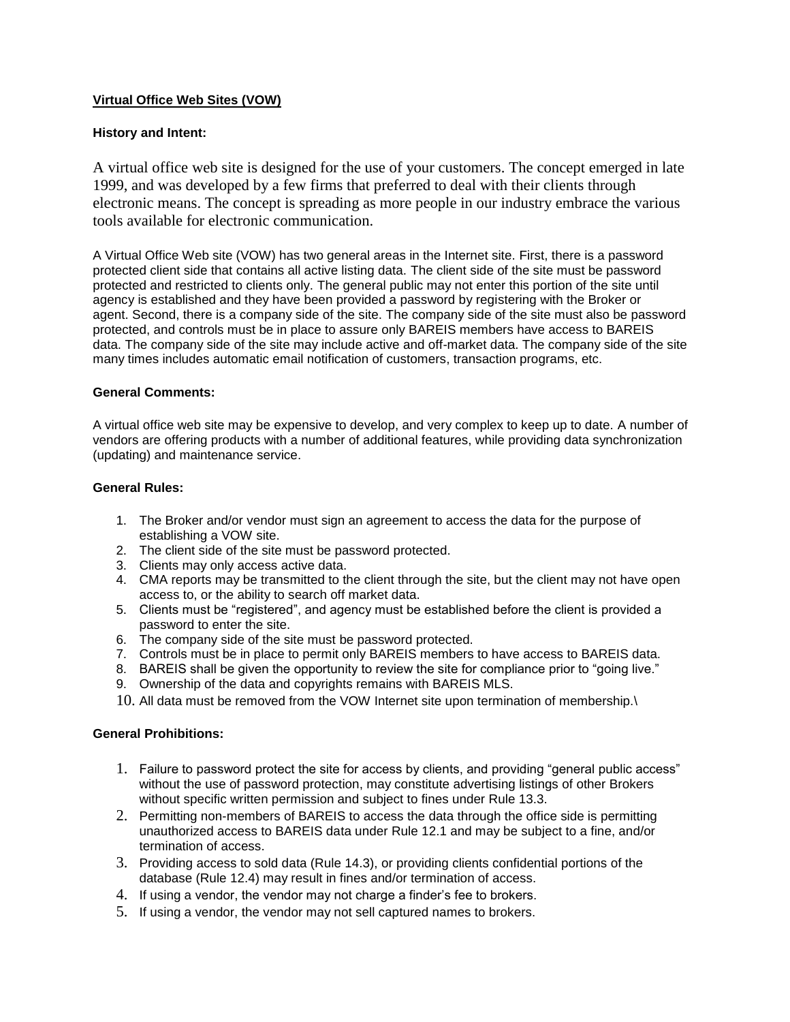# **Virtual Office Web Sites (VOW)**

## **History and Intent:**

A virtual office web site is designed for the use of your customers. The concept emerged in late 1999, and was developed by a few firms that preferred to deal with their clients through electronic means. The concept is spreading as more people in our industry embrace the various tools available for electronic communication.

A Virtual Office Web site (VOW) has two general areas in the Internet site. First, there is a password protected client side that contains all active listing data. The client side of the site must be password protected and restricted to clients only. The general public may not enter this portion of the site until agency is established and they have been provided a password by registering with the Broker or agent. Second, there is a company side of the site. The company side of the site must also be password protected, and controls must be in place to assure only BAREIS members have access to BAREIS data. The company side of the site may include active and off-market data. The company side of the site many times includes automatic email notification of customers, transaction programs, etc.

#### **General Comments:**

A virtual office web site may be expensive to develop, and very complex to keep up to date. A number of vendors are offering products with a number of additional features, while providing data synchronization (updating) and maintenance service.

### **General Rules:**

- 1. The Broker and/or vendor must sign an agreement to access the data for the purpose of establishing a VOW site.
- 2. The client side of the site must be password protected.
- 3. Clients may only access active data.
- 4. CMA reports may be transmitted to the client through the site, but the client may not have open access to, or the ability to search off market data.
- 5. Clients must be "registered", and agency must be established before the client is provided a password to enter the site.
- 6. The company side of the site must be password protected.
- 7. Controls must be in place to permit only BAREIS members to have access to BAREIS data.
- 8. BAREIS shall be given the opportunity to review the site for compliance prior to "going live."
- 9. Ownership of the data and copyrights remains with BAREIS MLS.
- 10. All data must be removed from the VOW Internet site upon termination of membership.\

#### **General Prohibitions:**

- 1. Failure to password protect the site for access by clients, and providing "general public access" without the use of password protection, may constitute advertising listings of other Brokers without specific written permission and subject to fines under Rule 13.3.
- 2. Permitting non-members of BAREIS to access the data through the office side is permitting unauthorized access to BAREIS data under Rule 12.1 and may be subject to a fine, and/or termination of access.
- 3. Providing access to sold data (Rule 14.3), or providing clients confidential portions of the database (Rule 12.4) may result in fines and/or termination of access.
- 4. If using a vendor, the vendor may not charge a finder's fee to brokers.
- 5. If using a vendor, the vendor may not sell captured names to brokers.